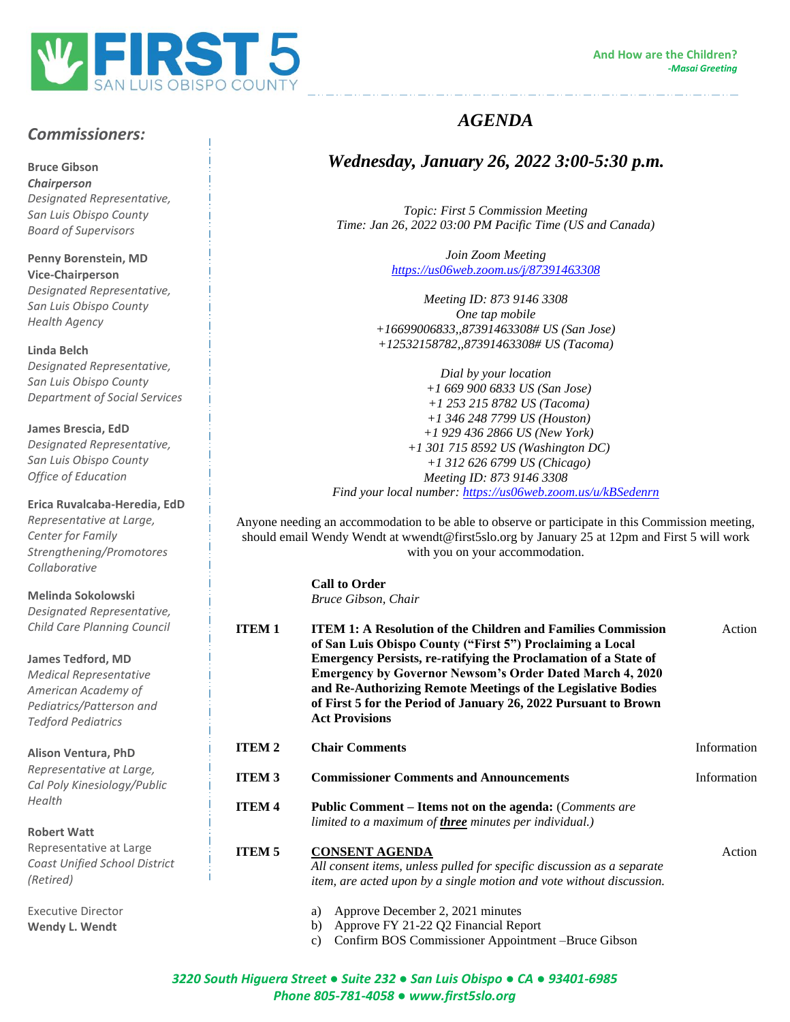

ستردد والمتناول والمتناول والمتناورة والمتناورة والمتناورة المتناورة والمتاورة والمتناورة

# *Commissioners:*

**Bruce Gibson**

*Health Agency*

*Chairperson Designated Representative, San Luis Obispo County Board of Supervisors*

**Penny Borenstein, MD Vice-Chairperson** *Designated Representative, San Luis Obispo County* 

**Linda Belch** *Designated Representative, San Luis Obispo County Department of Social Services*

**James Brescia, EdD** *Designated Representative, San Luis Obispo County Office of Education*

### **Erica Ruvalcaba-Heredia, EdD**

*Representative at Large, Center for Family Strengthening/Promotores Collaborative*

#### **Melinda Sokolowski**

*Designated Representative, Child Care Planning Council*

#### **James Tedford, MD**

*Medical Representative American Academy of Pediatrics/Patterson and Tedford Pediatrics*

**Alison Ventura, PhD**

*Representative at Large, Cal Poly Kinesiology/Public Health*

**Robert Watt**

Representative at Large *Coast Unified School District (Retired)*

Executive Director **Wendy L. Wendt**

## *AGENDA*

### *Wednesday, January 26, 2022 3:00-5:30 p.m.*

*Topic: First 5 Commission Meeting Time: Jan 26, 2022 03:00 PM Pacific Time (US and Canada)*

> *Join Zoom Meeting <https://us06web.zoom.us/j/87391463308>*

*Meeting ID: 873 9146 3308 One tap mobile +16699006833,,87391463308# US (San Jose) +12532158782,,87391463308# US (Tacoma)*

*Dial by your location +1 669 900 6833 US (San Jose) +1 253 215 8782 US (Tacoma) +1 346 248 7799 US (Houston) +1 929 436 2866 US (New York) +1 301 715 8592 US (Washington DC) +1 312 626 6799 US (Chicago) Meeting ID: 873 9146 3308 Find your local number:<https://us06web.zoom.us/u/kBSedenrn>*

Anyone needing an accommodation to be able to observe or participate in this Commission meeting, should email Wendy Wendt at wwendt@first5slo.org by January 25 at 12pm and First 5 will work with you on your accommodation.

> **Call to Order** *Bruce Gibson, Chair*

| <b>ITEM1</b>  | <b>ITEM 1: A Resolution of the Children and Families Commission</b><br>of San Luis Obispo County ("First 5") Proclaiming a Local<br><b>Emergency Persists, re-ratifying the Proclamation of a State of</b><br><b>Emergency by Governor Newsom's Order Dated March 4, 2020</b><br>and Re-Authorizing Remote Meetings of the Legislative Bodies<br>of First 5 for the Period of January 26, 2022 Pursuant to Brown<br><b>Act Provisions</b> | Action      |
|---------------|-------------------------------------------------------------------------------------------------------------------------------------------------------------------------------------------------------------------------------------------------------------------------------------------------------------------------------------------------------------------------------------------------------------------------------------------|-------------|
| <b>ITEM 2</b> | <b>Chair Comments</b>                                                                                                                                                                                                                                                                                                                                                                                                                     | Information |
| <b>ITEM 3</b> | <b>Commissioner Comments and Announcements</b>                                                                                                                                                                                                                                                                                                                                                                                            | Information |
| <b>ITEM4</b>  | <b>Public Comment – Items not on the agenda:</b> (Comments are<br>limited to a maximum of <b>three</b> minutes per individual.)                                                                                                                                                                                                                                                                                                           |             |
| <b>ITEM 5</b> | <b>CONSENT AGENDA</b><br>All consent items, unless pulled for specific discussion as a separate<br>item, are acted upon by a single motion and vote without discussion.                                                                                                                                                                                                                                                                   | Action      |
|               | Approve December 2, 2021 minutes<br>a)<br>Approve FY 21-22 Q2 Financial Report<br>b)<br>Confirm BOS Commissioner Appointment -Bruce Gibson<br>c)                                                                                                                                                                                                                                                                                          |             |

*3220 South Higuera Street ● Suite 232 ● San Luis Obispo ● CA ● 93401-6985 Phone 805-781-4058 ● www.first5slo.org*